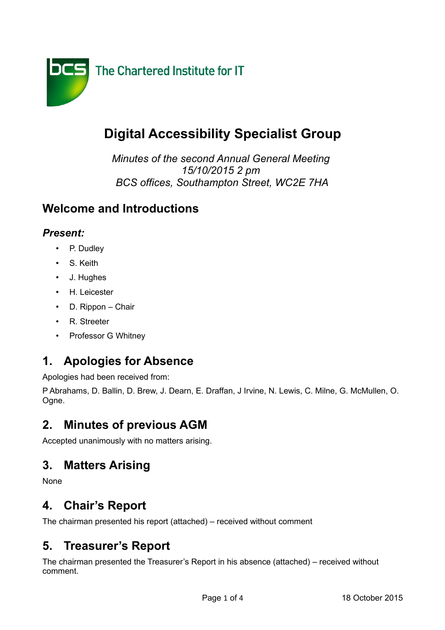

# **Digital Accessibility Specialist Group**

*Minutes of the second Annual General Meeting 15/10/2015 2 pm BCS offices, Southampton Street, WC2E 7HA*

#### **Welcome and Introductions**

#### *Present:*

- P. Dudley
- S. Keith
- J. Hughes
- H. Leicester
- D. Rippon Chair
- R. Streeter
- Professor G Whitney

### **1. Apologies for Absence**

Apologies had been received from:

P Abrahams, D. Ballin, D. Brew, J. Dearn, E. Draffan, J Irvine, N. Lewis, C. Milne, G. McMullen, O. Ogne.

### **2. Minutes of previous AGM**

Accepted unanimously with no matters arising.

### **3. Matters Arising**

None

### **4. Chair's Report**

The chairman presented his report (attached) – received without comment

### **5. Treasurer's Report**

The chairman presented the Treasurer's Report in his absence (attached) – received without comment.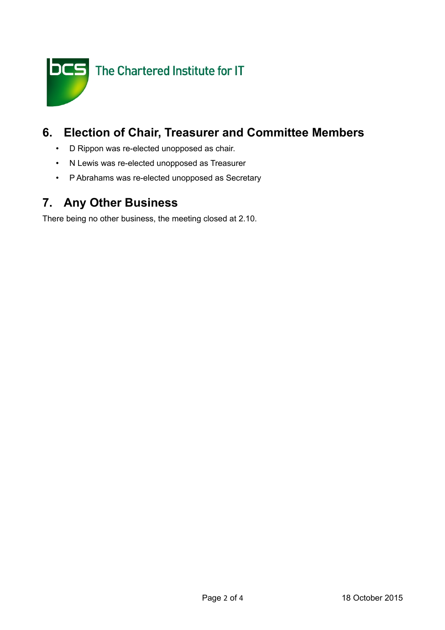

### **6. Election of Chair, Treasurer and Committee Members**

- D Rippon was re-elected unopposed as chair.
- N Lewis was re-elected unopposed as Treasurer
- P Abrahams was re-elected unopposed as Secretary

# **7. Any Other Business**

There being no other business, the meeting closed at 2.10.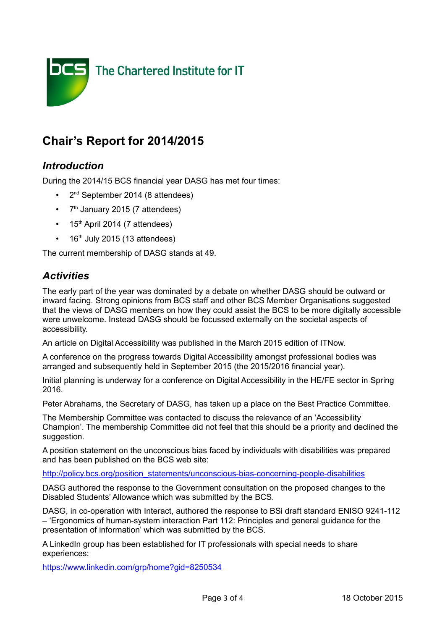

## **Chair's Report for 2014/2015**

#### *Introduction*

During the 2014/15 BCS financial year DASG has met four times:

- 2<sup>nd</sup> September 2014 (8 attendees)
- 7<sup>th</sup> January 2015 (7 attendees)
- $\cdot$  15<sup>th</sup> April 2014 (7 attendees)
- $\cdot$  16<sup>th</sup> July 2015 (13 attendees)

The current membership of DASG stands at 49.

#### *Activities*

The early part of the year was dominated by a debate on whether DASG should be outward or inward facing. Strong opinions from BCS staff and other BCS Member Organisations suggested that the views of DASG members on how they could assist the BCS to be more digitally accessible were unwelcome. Instead DASG should be focussed externally on the societal aspects of accessibility.

An article on Digital Accessibility was published in the March 2015 edition of ITNow.

A conference on the progress towards Digital Accessibility amongst professional bodies was arranged and subsequently held in September 2015 (the 2015/2016 financial year).

Initial planning is underway for a conference on Digital Accessibility in the HE/FE sector in Spring 2016.

Peter Abrahams, the Secretary of DASG, has taken up a place on the Best Practice Committee.

The Membership Committee was contacted to discuss the relevance of an 'Accessibility Champion'. The membership Committee did not feel that this should be a priority and declined the suggestion.

A position statement on the unconscious bias faced by individuals with disabilities was prepared and has been published on the BCS web site:

[http://policy.bcs.org/position\\_statements/unconscious-bias-concerning-people-disabilities](http://policy.bcs.org/position_statements/unconscious-bias-concerning-people-disabilities)

DASG authored the response to the Government consultation on the proposed changes to the Disabled Students' Allowance which was submitted by the BCS.

DASG, in co-operation with Interact, authored the response to BSi draft standard ENISO 9241-112 – 'Ergonomics of human-system interaction Part 112: Principles and general guidance for the presentation of information' which was submitted by the BCS.

A LinkedIn group has been established for IT professionals with special needs to share experiences:

<https://www.linkedin.com/grp/home?gid=8250534>